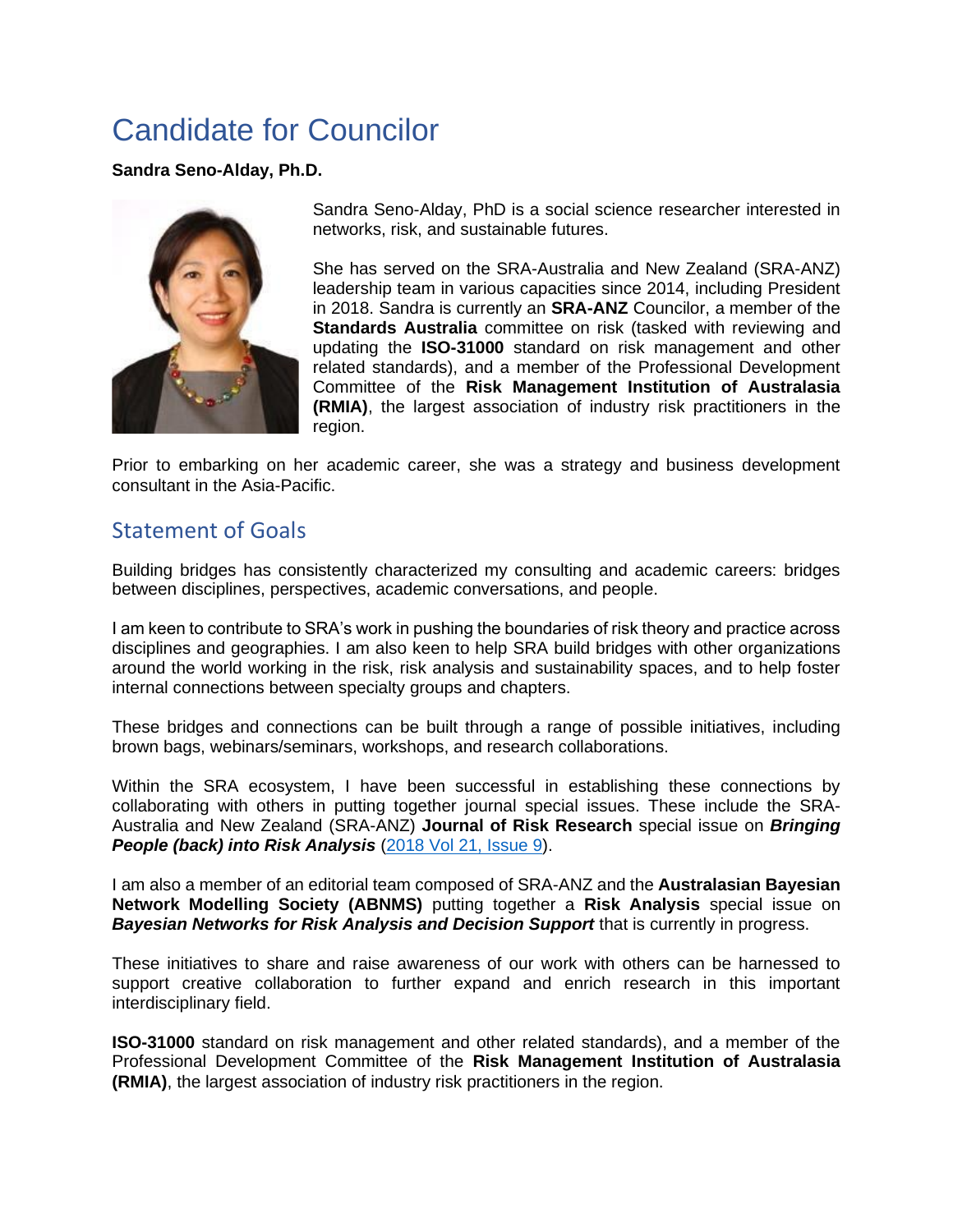## Candidate for Councilor

**Sandra Seno-Alday, Ph.D.**



Sandra Seno-Alday, PhD is a social science researcher interested in networks, risk, and sustainable futures.

She has served on the SRA-Australia and New Zealand (SRA-ANZ) leadership team in various capacities since 2014, including President in 2018. Sandra is currently an **SRA-ANZ** Councilor, a member of the **Standards Australia** committee on risk (tasked with reviewing and updating the **ISO-31000** standard on risk management and other related standards), and a member of the Professional Development Committee of the **Risk Management Institution of Australasia (RMIA)**, the largest association of industry risk practitioners in the region.

Prior to embarking on her academic career, she was a strategy and business development consultant in the Asia-Pacific.

## Statement of Goals

Building bridges has consistently characterized my consulting and academic careers: bridges between disciplines, perspectives, academic conversations, and people.

I am keen to contribute to SRA's work in pushing the boundaries of risk theory and practice across disciplines and geographies. I am also keen to help SRA build bridges with other organizations around the world working in the risk, risk analysis and sustainability spaces, and to help foster internal connections between specialty groups and chapters.

These bridges and connections can be built through a range of possible initiatives, including brown bags, webinars/seminars, workshops, and research collaborations.

Within the SRA ecosystem, I have been successful in establishing these connections by collaborating with others in putting together journal special issues. These include the SRA-Australia and New Zealand (SRA-ANZ) **Journal of Risk Research** special issue on *Bringing People (back) into Risk Analysis* [\(2018 Vol 21, Issue 9\)](https://www.tandfonline.com/toc/rjrr20/21/9).

I am also a member of an editorial team composed of SRA-ANZ and the **Australasian Bayesian Network Modelling Society (ABNMS)** putting together a **Risk Analysis** special issue on **Bayesian Networks for Risk Analysis and Decision Support** that is currently in progress.

These initiatives to share and raise awareness of our work with others can be harnessed to support creative collaboration to further expand and enrich research in this important interdisciplinary field.

**ISO-31000** standard on risk management and other related standards), and a member of the Professional Development Committee of the **Risk Management Institution of Australasia (RMIA)**, the largest association of industry risk practitioners in the region.